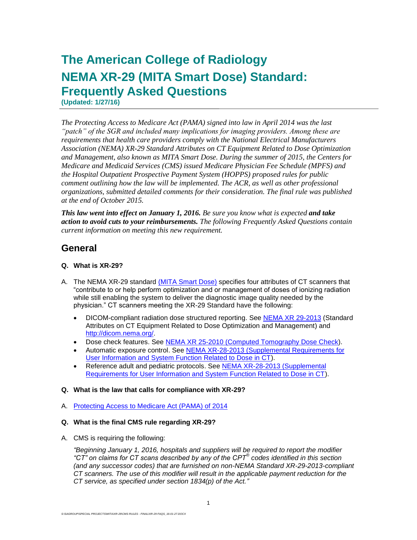# **The American College of Radiology NEMA XR-29 (MITA Smart Dose) Standard: Frequently Asked Questions**

**(Updated: 1/27/16)**

*The Protecting Access to Medicare Act (PAMA) signed into law in April 2014 was the last "patch" of the SGR and included many implications for imaging providers. Among these are requirements that health care providers comply with the National Electrical Manufacturers Association (NEMA) XR-29 Standard Attributes on CT Equipment Related to Dose Optimization and Management, also known as MITA Smart Dose. During the summer of 2015, the Centers for Medicare and Medicaid Services (CMS) issued Medicare Physician Fee Schedule (MPFS) and the Hospital Outpatient Prospective Payment System (HOPPS) proposed rules for public comment outlining how the law will be implemented. The ACR, as well as other professional organizations, submitted detailed comments for their consideration. The final rule was published at the end of October 2015.* 

*This law went into effect on January 1, 2016. Be sure you know what is expected and take action to avoid cuts to your reimbursements. The following Frequently Asked Questions contain current information on meeting this new requirement.*

# **General**

## **Q. What is XR-29?**

- A. The NEMA XR-29 standard [\(MITA Smart Dose\)](http://www.medicalimaging.org/policy-and-positions/mita-smart-dose/) specifies four attributes of CT scanners that "contribute to or help perform optimization and or management of doses of ionizing radiation while still enabling the system to deliver the diagnostic image quality needed by the physician." CT scanners meeting the XR-29 Standard have the following:
	- DICOM-compliant radiation dose structured reporting. See [NEMA XR 29-2013](https://www.nema.org/Standards/Pages/Standard-Attributes-on-CT-Equipment-Related-to-Dose-Optimization-and-Management.aspx) (Standard Attributes on CT Equipment Related to Dose Optimization and Management) and [http://dicom.nema.org/.](http://dicom.nema.org/)
	- Dose check features. See [NEMA XR 25-2010](https://www.nema.org/Standards/Pages/Computed-Tomography-Dose-Check.aspx) (Computed Tomography Dose Check).
	- Automatic exposure control. See [NEMA XR-28-2013](https://www.nema.org/Standards/Pages/Supplemental-Requirements-for-User-Information-and-System-Function-Related-to-Dose-in-CT.aspx) (Supplemental Requirements for User Information and System Function Related to Dose in CT).
	- Reference adult and pediatric protocols. See [NEMA XR-28-2013](https://www.nema.org/Standards/Pages/Supplemental-Requirements-for-User-Information-and-System-Function-Related-to-Dose-in-CT.aspx) (Supplemental Requirements for User Information and System Function Related to Dose in CT).

## **Q. What is the law that calls for compliance with XR-29?**

A. [Protecting Access to Medicare Act \(PAMA\) of 2014](http://www.gpo.gov/fdsys/pkg/BILLS-113hr4302enr/pdf/BILLS-113hr4302enr.pdf)

## **Q. What is the final CMS rule regarding XR-29?**

A. CMS is requiring the following:

*"Beginning January 1, 2016, hospitals and suppliers will be required to report the modifier "CT" on claims for CT scans described by any of the CPT® codes identified in this section (and any successor codes) that are furnished on non-NEMA Standard XR-29-2013-compliant CT scanners. The use of this modifier will result in the applicable payment reduction for the CT service, as specified under section 1834(p) of the Act."*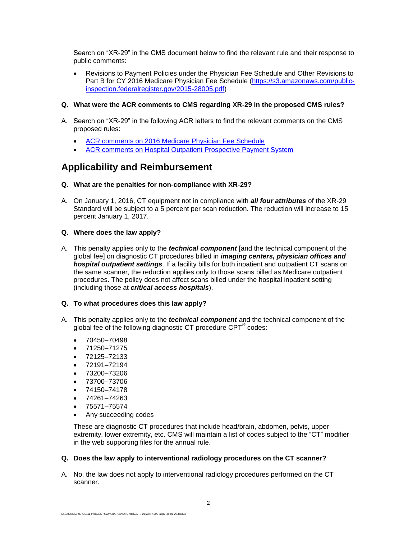Search on "XR-29" in the CMS document below to find the relevant rule and their response to public comments:

- Revisions to Payment Policies under the Physician Fee Schedule and Other Revisions to Part B for CY 2016 Medicare Physician Fee Schedule [\(https://s3.amazonaws.com/public](https://s3.amazonaws.com/public-inspection.federalregister.gov/2015-28005.pdf)[inspection.federalregister.gov/2015-28005.pdf\)](https://s3.amazonaws.com/public-inspection.federalregister.gov/2015-28005.pdf)
- **Q. What were the ACR comments to CMS regarding XR-29 in the proposed CMS rules?**
- A. Search on "XR-29" in the following ACR letters to find the relevant comments on the CMS proposed rules:
	- ACR comments on [2016 Medicare Physician Fee Schedule](http://www.acr.org/~/media/ACR/Documents/PDF/Economics/Medicare/MPFS%202016%20PR%20Comments%20FINAL%20(2).pdf)
	- [ACR comments on Hospital Outpatient Prospective Payment System](http://www.acr.org/~/media/ACR/Documents/PDF/Economics/HOPPS/2015/HOPPS%202016%20PR%20Comment%20Letter.pdf)

# **Applicability and Reimbursement**

#### **Q. What are the penalties for non-compliance with XR-29?**

A. On January 1, 2016, CT equipment not in compliance with *all four attributes* of the XR-29 Standard will be subject to a 5 percent per scan reduction. The reduction will increase to 15 percent January 1, 2017.

#### **Q. Where does the law apply?**

A. This penalty applies only to the *technical component* [and the technical component of the global fee] on diagnostic CT procedures billed in *imaging centers, physician offices and*  **hospital outpatient settings**. If a facility bills for both inpatient and outpatient CT scans on the same scanner, the reduction applies only to those scans billed as Medicare outpatient procedures. The policy does not affect scans billed under the hospital inpatient setting (including those at *critical access hospitals*).

### **Q. To what procedures does this law apply?**

- A. This penalty applies only to the *technical component* and the technical component of the global fee of the following diagnostic CT procedure CPT® codes:
	- 70450–70498
	- 71250–71275
	- $72125 72133$
	- 72191–72194
	- $73200 73206$
	- 73700–73706
	- $74150 74178$
	- $\bullet$  74261–74263
	- $75571 75574$
	- Any succeeding codes

These are diagnostic CT procedures that include head/brain, abdomen, pelvis, upper extremity, lower extremity, etc. CMS will maintain a list of codes subject to the "CT" modifier in the web supporting files for the annual rule.

#### **Q. Does the law apply to interventional radiology procedures on the CT scanner?**

A. No, the law does not apply to interventional radiology procedures performed on the CT scanner.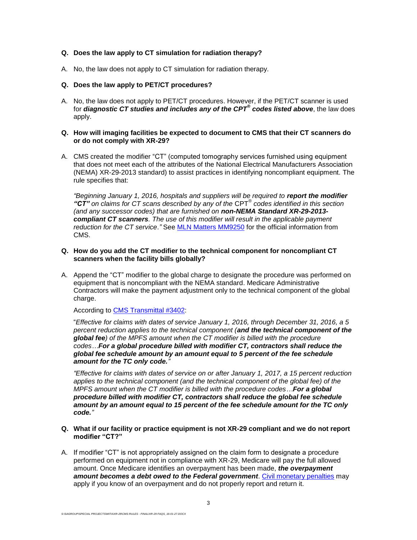#### **Q. Does the law apply to CT simulation for radiation therapy?**

A. No, the law does not apply to CT simulation for radiation therapy.

#### **Q. Does the law apply to PET/CT procedures?**

A. No, the law does not apply to PET/CT procedures. However, if the PET/CT scanner is used for *diagnostic CT studies and includes any of the CPT® codes listed above*, the law does apply.

#### **Q. How will imaging facilities be expected to document to CMS that their CT scanners do or do not comply with XR-29?**

A. CMS created the modifier "CT" (computed tomography services furnished using equipment that does not meet each of the attributes of the National Electrical Manufacturers Association (NEMA) XR-29-2013 standard) to assist practices in identifying noncompliant equipment. The rule specifies that:

*"Beginning January 1, 2016, hospitals and suppliers will be required to report the modifier "CT" on claims for CT scans described by any of the* CPT® *codes identified in this section (and any successor codes) that are furnished on non-NEMA Standard XR-29-2013 compliant CT scanners. The use of this modifier will result in the applicable payment reduction for the CT service*.*"* See [MLN Matters MM9250](https://www.cms.gov/Outreach-and-Education/Medicare-Learning-Network-MLN/MLNMattersArticles/Downloads/MM9250.pdf) for the official information from CMS.

#### **Q. How do you add the CT modifier to the technical component for noncompliant CT scanners when the facility bills globally?**

A. Append the "CT" modifier to the global charge to designate the procedure was performed on equipment that is noncompliant with the NEMA standard. Medicare Administrative Contractors will make the payment adjustment only to the technical component of the global charge.

According to [CMS Transmittal #3402:](https://www.cms.gov/Regulations-and-Guidance/Guidance/Transmittals/Downloads/R3402CP.pdf)

"*Effective for claims with dates of service January 1, 2016, through December 31, 2016, a 5 percent reduction applies to the technical component (and the technical component of the global fee) of the MPFS amount when the CT modifier is billed with the procedure codes…For a global procedure billed with modifier CT, contractors shall reduce the global fee schedule amount by an amount equal to 5 percent of the fee schedule amount for the TC only code."*

*"Effective for claims with dates of service on or after January 1, 2017, a 15 percent reduction applies to the technical component (and the technical component of the global fee) of the MPFS amount when the CT modifier is billed with the procedure codes…For a global procedure billed with modifier CT, contractors shall reduce the global fee schedule amount by an amount equal to 15 percent of the fee schedule amount for the TC only code."*

- **Q. What if our facility or practice equipment is not XR-29 compliant and we do not report modifier "CT?"**
- A. If modifier "CT" is not appropriately assigned on the claim form to designate a procedure performed on equipment not in compliance with XR-29, Medicare will pay the full allowed amount. Once Medicare identifies an overpayment has been made, *the overpayment amount becomes a debt owed to the Federal government*. [Civil monetary penalties](https://www.cms.gov/Outreach-and-Education/Medicare-Learning-Network-MLN/MLNProducts/downloads/OverpaymentBrochure508-09.pdf) may apply if you know of an overpayment and do not properly report and return it.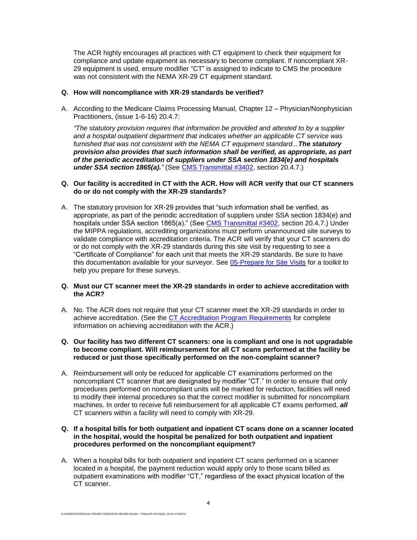The ACR highly encourages all practices with CT equipment to check their equipment for compliance and update equipment as necessary to become compliant. If noncompliant XR-29 equipment is used, ensure modifier "CT" is assigned to indicate to CMS the procedure was not consistent with the NEMA XR-29 CT equipment standard.

#### **Q. How will noncompliance with XR-29 standards be verified?**

A. According to the Medicare Claims Processing Manual, Chapter 12 – Physician/Nonphysician Practitioners, (issue 1-6-16) 20.4.7:

*"The statutory provision requires that information be provided and attested to by a supplier and a hospital outpatient department that indicates whether an applicable CT service was furnished that was not consistent with the NEMA CT equipment standard...The statutory provision also provides that such information shall be verified, as appropriate, as part of the periodic accreditation of suppliers under SSA section 1834(e) and hospitals under SSA section 1865(a)."* (See [CMS Transmittal #3402,](https://www.cms.gov/Regulations-and-Guidance/Guidance/Transmittals/Downloads/R3402CP.pdf) section 20.4.7.)

#### **Q. Our facility is accredited in CT with the ACR. How will ACR verify that our CT scanners do or do not comply with the XR-29 standards?**

A. The statutory provision for XR-29 provides that "such information shall be verified, as appropriate, as part of the periodic accreditation of suppliers under SSA section 1834(e) and hospitals under SSA section 1865(a)." (See [CMS Transmittal #3402,](https://www.cms.gov/Regulations-and-Guidance/Guidance/Transmittals/Downloads/R3402CP.pdf) section 20.4.7.) Under the MIPPA regulations, accrediting organizations must perform unannounced site surveys to validate compliance with accreditation criteria. The ACR will verify that your CT scanners do or do not comply with the XR-29 standards during this site visit by requesting to see a "Certificate of Compliance" for each unit that meets the XR-29 standards. Be sure to have this documentation available for your surveyor. See [05-Prepare for Site Visits](http://www.acraccreditation.org/Modalities/CT) for a toolkit to help you prepare for these surveys.

#### **Q. Must our CT scanner meet the XR-29 standards in order to achieve accreditation with the ACR?**

- A. No. The ACR does not require that your CT scanner meet the XR-29 standards in order to achieve accreditation. (See the [CT Accreditation Program Requirements](http://www.acraccreditation.org/~/media/Documents/CT/Requirements.pdf?la=en) for complete information on achieving accreditation with the ACR.)
- **Q. Our facility has two different CT scanners: one is compliant and one is not upgradable to become compliant. Will reimbursement for all CT scans performed at the facility be reduced or just those specifically performed on the non-complaint scanner?**
- A. Reimbursement will only be reduced for applicable CT examinations performed on the noncompliant CT scanner that are designated by modifier "CT." In order to ensure that only procedures performed on noncompliant units will be marked for reduction, facilities will need to modify their internal procedures so that the correct modifier is submitted for noncompliant machines. In order to receive full reimbursement for all applicable CT exams performed, *all* CT scanners within a facility will need to comply with XR-29.

#### **Q. If a hospital bills for both outpatient and inpatient CT scans done on a scanner located in the hospital, would the hospital be penalized for both outpatient and inpatient procedures performed on the noncompliant equipment?**

A. When a hospital bills for both outpatient and inpatient CT scans performed on a scanner located in a hospital, the payment reduction would apply only to those scans billed as outpatient examinations with modifier "CT," regardless of the exact physical location of the CT scanner.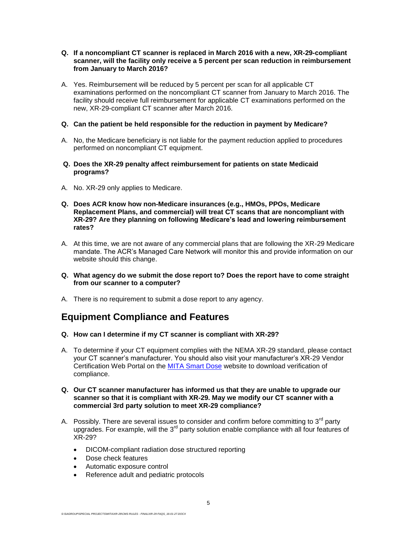#### **Q. If a noncompliant CT scanner is replaced in March 2016 with a new, XR-29-compliant scanner, will the facility only receive a 5 percent per scan reduction in reimbursement from January to March 2016?**

A. Yes. Reimbursement will be reduced by 5 percent per scan for all applicable CT examinations performed on the noncompliant CT scanner from January to March 2016. The facility should receive full reimbursement for applicable CT examinations performed on the new, XR-29-compliant CT scanner after March 2016.

#### **Q. Can the patient be held responsible for the reduction in payment by Medicare?**

- A. No, the Medicare beneficiary is not liable for the payment reduction applied to procedures performed on noncompliant CT equipment.
- **Q. Does the XR-29 penalty affect reimbursement for patients on state Medicaid programs?**
- A. No. XR-29 only applies to Medicare.
- **Q. Does ACR know how non-Medicare insurances (e.g., HMOs, PPOs, Medicare Replacement Plans, and commercial) will treat CT scans that are noncompliant with XR-29? Are they planning on following Medicare's lead and lowering reimbursement rates?**
- A. At this time, we are not aware of any commercial plans that are following the XR-29 Medicare mandate. The ACR's Managed Care Network will monitor this and provide information on our website should this change.
- **Q. What agency do we submit the dose report to? Does the report have to come straight from our scanner to a computer?**
- A. There is no requirement to submit a dose report to any agency.

# **Equipment Compliance and Features**

- **Q. How can I determine if my CT scanner is compliant with XR-29?**
- A. To determine if your CT equipment complies with the NEMA XR-29 standard, please contact your CT scanner's manufacturer. You should also visit your manufacturer's XR-29 Vendor Certification Web Portal on the [MITA Smart Dose](http://www.medicalimaging.org/policy-and-positions/mita-smart-dose/) website to download verification of compliance.
- **Q. Our CT scanner manufacturer has informed us that they are unable to upgrade our scanner so that it is compliant with XR-29. May we modify our CT scanner with a commercial 3rd party solution to meet XR-29 compliance?**
- A. Possibly. There are several issues to consider and confirm before committing to  $3<sup>rd</sup>$  party upgrades. For example, will the  $3<sup>rd</sup>$  party solution enable compliance with all four features of XR-29?
	- DICOM-compliant radiation dose structured reporting
	- Dose check features
	- Automatic exposure control
	- Reference adult and pediatric protocols